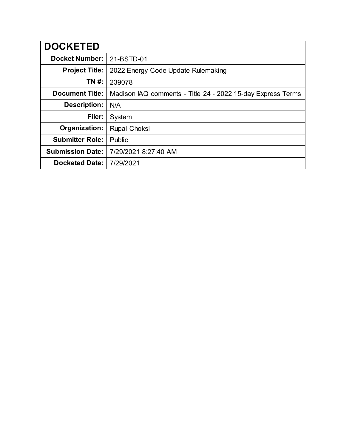| <b>DOCKETED</b>         |                                                             |
|-------------------------|-------------------------------------------------------------|
| <b>Docket Number:</b>   | 21-BSTD-01                                                  |
| <b>Project Title:</b>   | 2022 Energy Code Update Rulemaking                          |
| TN #:                   | 239078                                                      |
| <b>Document Title:</b>  | Madison IAQ comments - Title 24 - 2022 15-day Express Terms |
| Description:            | N/A                                                         |
| Filer:                  | System                                                      |
| Organization:           | <b>Rupal Choksi</b>                                         |
| <b>Submitter Role:</b>  | Public                                                      |
| <b>Submission Date:</b> | 7/29/2021 8:27:40 AM                                        |
| <b>Docketed Date:</b>   | 7/29/2021                                                   |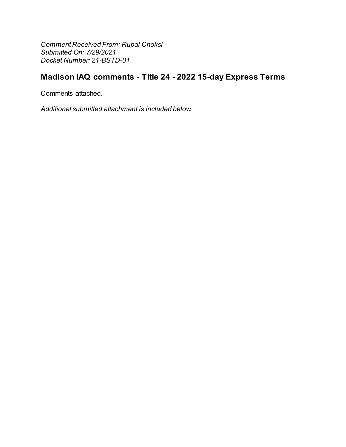Comment Received From: Rupal Choksi Submitted On: 7/29/2021 Docket Number: 21-BSTD-01

# Madison IAQ comments - Title 24 - 2022 15-day Express Terms

Comments attached.

Additional submitted attachment is included below.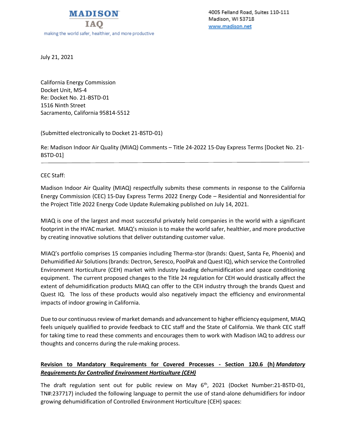4005 Felland Road, Suites 110-111 Madison, WI 53718 www.madison.net

July 21, 2021

California Energy Commission Docket Unit, MS-4 Re: Docket No. 21-BSTD-01 1516 Ninth Street Sacramento, California 95814-5512

#### (Submitted electronically to Docket 21-BSTD-01)

Re: Madison Indoor Air Quality (MIAQ) Comments – Title 24-2022 15-Day Express Terms [Docket No. 21- BSTD-01]

#### CEC Staff:

Madison Indoor Air Quality (MIAQ) respectfully submits these comments in response to the California Energy Commission (CEC) 15-Day Express Terms 2022 Energy Code – Residential and Nonresidential for the Project Title 2022 Energy Code Update Rulemaking published on July 14, 2021.

MIAQ is one of the largest and most successful privately held companies in the world with a significant footprint in the HVAC market. MIAQ's mission is to make the world safer, healthier, and more productive by creating innovative solutions that deliver outstanding customer value.

MIAQ's portfolio comprises 15 companies including Therma-stor (brands: Quest, Santa Fe, Phoenix) and Dehumidified Air Solutions(brands: Dectron, Seresco, PoolPak and Quest IQ), which service the Controlled Environment Horticulture (CEH) market with industry leading dehumidification and space conditioning equipment. The current proposed changes to the Title 24 regulation for CEH would drastically affect the extent of dehumidification products MIAQ can offer to the CEH industry through the brands Quest and Quest IQ. The loss of these products would also negatively impact the efficiency and environmental impacts of indoor growing in California.

Due to our continuous review of market demands and advancement to higher efficiency equipment, MIAQ feels uniquely qualified to provide feedback to CEC staff and the State of California. We thank CEC staff for taking time to read these comments and encourages them to work with Madison IAQ to address our thoughts and concerns during the rule-making process.

# **Revision to Mandatory Requirements for Covered Processes - Section 120.6 (h)** *Mandatory Requirements for Controlled Environment Horticulture (CEH)*

The draft regulation sent out for public review on May  $6<sup>th</sup>$ , 2021 (Docket Number:21-BSTD-01, TN#:237717) included the following language to permit the use of stand-alone dehumidifiers for indoor growing dehumidification of Controlled Environment Horticulture (CEH) spaces: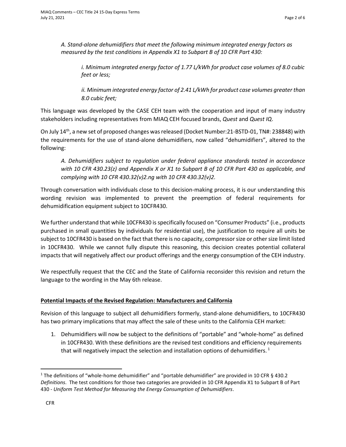*A. Stand-alone dehumidifiers that meet the following minimum integrated energy factors as measured by the test conditions in Appendix X1 to Subpart B of 10 CFR Part 430:* 

*i. Minimum integrated energy factor of 1.77 L/kWh for product case volumes of 8.0 cubic feet or less;*

*ii. Minimum integrated energy factor of 2.41 L/kWh for product case volumes greater than 8.0 cubic feet;*

This language was developed by the CASE CEH team with the cooperation and input of many industry stakeholders including representatives from MIAQ CEH focused brands, *Quest* and *Quest IQ*.

On July 14<sup>th</sup>, a new set of proposed changes was released (Docket Number:21-BSTD-01, TN#: 238848) with the requirements for the use of stand-alone dehumidifiers, now called "dehumidifiers", altered to the following:

*A. Dehumidifiers subject to regulation under federal appliance standards tested in accordance with 10 CFR 430.23(z) and Appendix X or X1 to Subpart B of 10 CFR Part 430 as applicable, and complying with 10 CFR 430.32(v)2.ng with 10 CFR 430.32(v)2.*

Through conversation with individuals close to this decision-making process, it is our understanding this wording revision was implemented to prevent the preemption of federal requirements for dehumidification equipment subject to 10CFR430.

We further understand that while 10CFR430 is specifically focused on "Consumer Products" (i.e., products purchased in small quantities by individuals for residential use), the justification to require all units be subject to 10CFR430 is based on the fact that there is no capacity, compressor size or other size limit listed in 10CFR430. While we cannot fully dispute this reasoning, this decision creates potential collateral impacts that will negatively affect our product offerings and the energy consumption of the CEH industry.

We respectfully request that the CEC and the State of California reconsider this revision and return the language to the wording in the May 6th release.

### **Potential Impacts of the Revised Regulation: Manufacturers and California**

Revision of this language to subject all dehumidifiers formerly, stand-alone dehumidifiers, to 10CFR430 has two primary implications that may affect the sale of these units to the California CEH market:

1. Dehumidifiers will now be subject to the definitions of "portable" and "whole-home" as defined in 10CFR430. With these definitions are the revised test conditions and efficiency requirements that will negatively impact the selection and installation options of dehumidifiers.<sup>1</sup>

<sup>1</sup> The definitions of "whole-home dehumidifier" and "portable dehumidifier" are provided in 10 CFR § 430.2 *Definitions*. The test conditions for those two categories are provided in 10 CFR Appendix X1 to Subpart B of Part 430 - *Uniform Test Method for Measuring the Energy Consumption of Dehumidifiers*.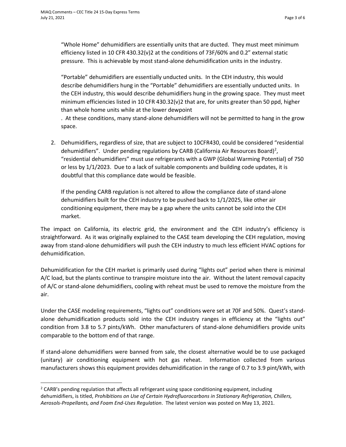"Whole Home" dehumidifiers are essentially units that are ducted. They must meet minimum efficiency listed in 10 CFR 430.32(v)2 at the conditions of 73F/60% and 0.2" external static pressure. This is achievable by most stand-alone dehumidification units in the industry.

"Portable" dehumidifiers are essentially unducted units. In the CEH industry, this would describe dehumidifiers hung in the "Portable" dehumidifiers are essentially unducted units. In the CEH industry, this would describe dehumidifiers hung in the growing space. They must meet minimum efficiencies listed in 10 CFR 430.32(v)2 that are, for units greater than 50 ppd, higher than whole home units while at the lower dewpoint

. At these conditions, many stand-alone dehumidifiers will not be permitted to hang in the grow space.

2. Dehumidifiers, regardless of size, that are subject to 10CFR430, could be considered "residential dehumidifiers". Under pending regulations by CARB (California Air Resources Board)<sup>2</sup>, "residential dehumidifiers" must use refrigerants with a GWP (Global Warming Potential) of 750 or less by 1/1/2023. Due to a lack of suitable components and building code updates, it is doubtful that this compliance date would be feasible.

If the pending CARB regulation is not altered to allow the compliance date of stand-alone dehumidifiers built for the CEH industry to be pushed back to 1/1/2025, like other air conditioning equipment, there may be a gap where the units cannot be sold into the CEH market.

The impact on California, its electric grid, the environment and the CEH industry's efficiency is straightforward. As it was originally explained to the CASE team developing the CEH regulation, moving away from stand-alone dehumidifiers will push the CEH industry to much less efficient HVAC options for dehumidification.

Dehumidification for the CEH market is primarily used during "lights out" period when there is minimal A/C load, but the plants continue to transpire moisture into the air. Without the latent removal capacity of A/C or stand-alone dehumidifiers, cooling with reheat must be used to remove the moisture from the air.

Under the CASE modeling requirements, "lights out" conditions were set at 70F and 50%. Quest's standalone dehumidification products sold into the CEH industry ranges in efficiency at the "lights out" condition from 3.8 to 5.7 pints/kWh. Other manufacturers of stand-alone dehumidifiers provide units comparable to the bottom end of that range.

If stand-alone dehumidifiers were banned from sale, the closest alternative would be to use packaged (unitary) air conditioning equipment with hot gas reheat. Information collected from various manufacturers shows this equipment provides dehumidification in the range of 0.7 to 3.9 pint/kWh, with

<sup>&</sup>lt;sup>2</sup> CARB's pending regulation that affects all refrigerant using space conditioning equipment, including dehumidifiers, is titled, *Prohibitions on Use of Certain Hydrofluorocarbons in Stationary Refrigeration, Chillers, Aerosols-Propellants, and Foam End-Uses Regulation*. The latest version was posted on May 13, 2021.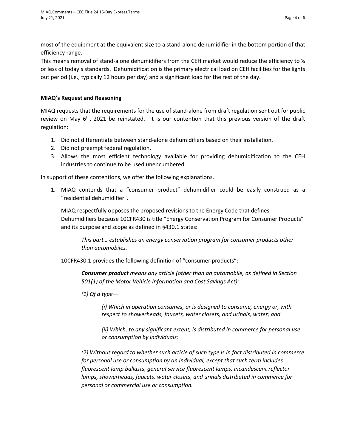most of the equipment at the equivalent size to a stand-alone dehumidifier in the bottom portion of that efficiency range.

This means removal of stand-alone dehumidifiers from the CEH market would reduce the efficiency to  $\frac{1}{4}$ or less of today's standards. Dehumidification is the primary electrical load on CEH facilities for the lights out period (i.e., typically 12 hours per day) and a significant load for the rest of the day.

#### **MIAQ's Request and Reasoning**

MIAQ requests that the requirements for the use of stand-alone from draft regulation sent out for public review on May  $6<sup>th</sup>$ , 2021 be reinstated. It is our contention that this previous version of the draft regulation:

- 1. Did not differentiate between stand-alone dehumidifiers based on their installation.
- 2. Did not preempt federal regulation.
- 3. Allows the most efficient technology available for providing dehumidification to the CEH industries to continue to be used unencumbered.

In support of these contentions, we offer the following explanations.

1. MIAQ contends that a "consumer product" dehumidifier could be easily construed as a "residential dehumidifier".

MIAQ respectfully opposes the proposed revisions to the Energy Code that defines Dehumidifiers because 10CFR430 is title "Energy Conservation Program for Consumer Products" and its purpose and scope as defined in §430.1 states:

*This part… establishes an energy conservation program for consumer products other than automobiles.*

10CFR430.1 provides the following definition of "consumer products":

*Consumer product means any article (other than an automobile, as defined in Section 501(1) of the Motor Vehicle Information and Cost Savings Act):*

*(1) Of a type—*

*(i) Which in operation consumes, or is designed to consume, energy or, with respect to showerheads, faucets, water closets, and urinals, water; and*

*(ii) Which, to any significant extent, is distributed in commerce for personal use or consumption by individuals;*

*(2) Without regard to whether such article of such type is in fact distributed in commerce for personal use or consumption by an individual, except that such term includes fluorescent lamp ballasts, general service fluorescent lamps, incandescent reflector lamps, showerheads, faucets, water closets, and urinals distributed in commerce for personal or commercial use or consumption.*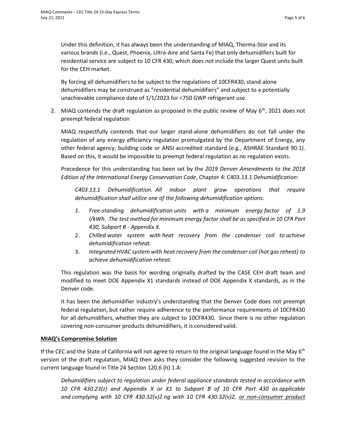Under this definition, it has always been the understanding of MIAQ, Therma-Stor and its various brands (i.e., Quest, Phoenix, Ultra-Aire and Santa Fe) that only dehumidifiers built for residential service are subject to 10 CFR 430, which does not include the larger Quest units built for the CEH market.

By forcing all dehumidifiers to be subject to the regulations of 10CFR430, stand-alone dehumidifiers may be construed as "residential dehumidifiers" and subject to a potentially unachievable compliance date of 1/1/2023 for <750 GWP refrigerant use.

2. MIAQ contends the draft regulation as proposed in the public review of May  $6<sup>th</sup>$ , 2021 does not preempt federal regulation

MIAQ respectfully contends that our larger stand-alone dehumidifiers do not fall under the regulation of any energy efficiency regulation promulgated by the Department of Energy, any other federal agency, building code or ANSI accredited standard (e.g., ASHRAE Standard 90.1). Based on this, it would be impossible to preempt federal regulation as no regulation exists.

Precedence for this understanding has been set by the *2019 Denver Amendments to the 2018 Edition of the International Energy Conservation Code*, Chapter 4: C403.13.1 *Dehumidification*:

*C403.13.1 Dehumidification. All indoor plant grow operations that require dehumidification shall utilize one of the following dehumidification options:* 

- *1. Free-standing dehumidification units with a minimum energy factor of 1.9 l/kWh. The test method for minimum energy factor shall be as specified in 10 CFR Part 430, Subpart B - Appendix X.*
- 2. *Chilled water system with heat recovery from the condenser coil to achieve dehumidification reheat.*
- 3. *Integrated HVAC system with heat recovery from the condenser coil (hot gasreheat) to achieve dehumidification reheat.*

This regulation was the basis for wording originally drafted by the CASE CEH draft team and modified to meet DOE Appendix X1 standards instead of DOE Appendix X standards, as in the Denver code.

It has been the dehumidifier industry's understanding that the Denver Code does not preempt federal regulation, but rather require adherence to the performance requirements of 10CFR430 for all dehumidifiers, whether they are subject to 10CFR430. Since there is no other regulation covering non-consumer products dehumidifiers, it is considered valid.

### **MIAQ's Compromise Solution**

If the CEC and the State of California will not agree to return to the original language found in the May  $6<sup>th</sup>$ version of the draft regulation, MIAQ then asks they consider the following suggested revision to the current language found in Title 24 Section 120.6 (h) 1.A:

*Dehumidifiers subject to regulation under federal appliance standards tested in accordance with 10 CFR 430.23(z) and Appendix X or X1 to Subpart B of 10 CFR Part 430 as applicable and complying with 10 CFR 430.32(v)2.ng with 10 CFR 430.32(v)2, or non-consumer product*